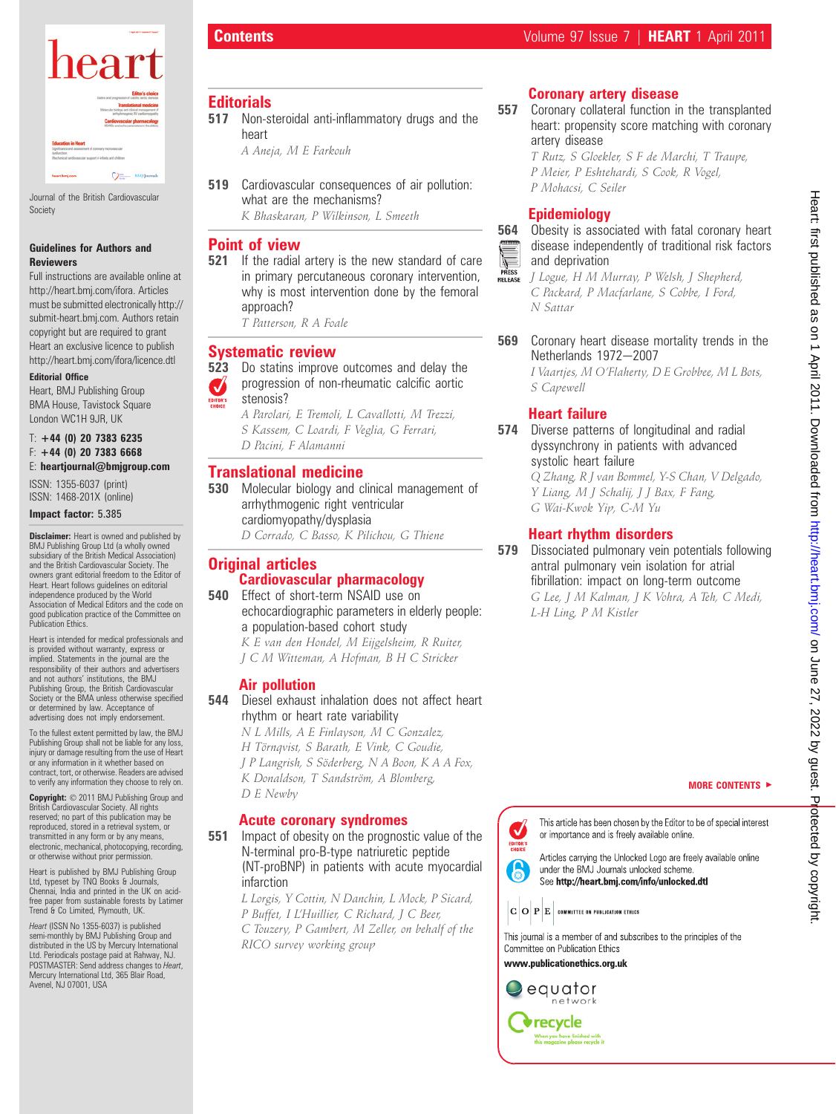

Journal of the British Cardiovascular Society

#### Guidelines for Authors and Reviewers

Full instructions are available online at http://heart.bmj.com/ifora. Articles must be submitted electronically http:// submit-heart.bmj.com. Authors retain copyright but are required to grant Heart an exclusive licence to publish http://heart.bmj.com/ifora/licence.dtl

#### Editorial Office

Heart, BMJ Publishing Group BMA House, Tavistock Square London WC1H 9JR, UK

#### $T: +44$  (0) 20 7383 6235  $F: +44$  (0) 20 7383 6668 E: heartjournal@bmjgroup.com

ISSN: 1355-6037 (print) ISSN: 1468-201X (online)

#### Impact factor: 5.385

**Disclaimer:** Heart is owned and published by BMJ Publishing Group Ltd (a wholly owned subsidiary of the British Medical Association) and the British Cardiovascular Society. The owners grant editorial freedom to the Editor of Heart. Heart follows guidelines on editorial independence produced by the World Association of Medical Editors and the code on good publication practice of the Committee on Publication Ethics.

Heart is intended for medical professionals and is provided without warranty, express or implied. Statements in the journal are the responsibility of their authors and advertisers and not authors' institutions, the BMJ Publishing Group, the British Cardiovascular Society or the BMA unless otherwise specified or determined by law. Acceptance of advertising does not imply endorsement.

To the fullest extent permitted by law, the BMJ Publishing Group shall not be liable for any loss, injury or damage resulting from the use of Heart or any information in it whether based on contract, tort, or otherwise. Readers are advised to verify any information they choose to rely on.

Copyright:  $\odot$  2011 BMJ Publishing Group and British Cardiovascular Society. All rights reserved; no part of this publication may be reproduced, stored in a retrieval system, or transmitted in any form or by any means, electronic, mechanical, photocopying, recording, or otherwise without prior permission.

Heart is published by BMJ Publishing Group Ltd, typeset by TNQ Books & Journals, Chennai, India and printed in the UK on acidfree paper from sustainable forests by Latimer Trend & Co Limited, Plymouth, UK.

Heart (ISSN No 1355-6037) is published semi-monthly by BMJ Publishing Group and distributed in the US by Mercury International Ltd. Periodicals postage paid at Rahway, NJ. POSTMASTER: Send address changes to Heart, Mercury International Ltd, 365 Blair Road, Avenel, NJ 07001, USA

### **Editorials**

517 Non-steroidal anti-inflammatory drugs and the heart

A Aneja, M E Farkouh

519 Cardiovascular consequences of air pollution: what are the mechanisms? K Bhaskaran, P Wilkinson, L Smeeth

# Point of view

- **521** If the radial artery is the new standard of care in primary percutaneous coronary intervention, why is most intervention done by the femoral approach?
	- T Patterson, R A Foale

#### Systematic review

- **523** Do statins improve outcomes and delay the progression of non-rheumatic calcific aortic  $\boldsymbol{J}$ stenosis?
	- A Parolari, E Tremoli, L Cavallotti, M Trezzi, S Kassem, C Loardi, F Veglia, G Ferrari, D Pacini, F Alamanni

#### Translational medicine

- **530** Molecular biology and clinical management of arrhythmogenic right ventricular cardiomyopathy/dysplasia
	- D Corrado, C Basso, K Pilichou, G Thiene

#### **Original articles** Cardiovascular pharmacology

- 540 Effect of short-term NSAID use on
	- echocardiographic parameters in elderly people: a population-based cohort study
		- K E van den Hondel, M Eijgelsheim, R Ruiter, J C M Witteman, A Hofman, B H C Stricker

#### Air pollution

- 544 Diesel exhaust inhalation does not affect heart rhythm or heart rate variability
	- N L Mills, A E Finlayson, M C Gonzalez, H Törnqvist, S Barath, E Vink, C Goudie, J P Langrish, S Söderberg, N A Boon, K A A Fox, K Donaldson, T Sandström, A Blomberg, D E Newby

#### Acute coronary syndromes

**551** Impact of obesity on the prognostic value of the N-terminal pro-B-type natriuretic peptide (NT-proBNP) in patients with acute myocardial infarction

L Lorgis, Y Cottin, N Danchin, L Mock, P Sicard, P Buffet, I L'Huillier, C Richard, J C Beer, C Touzery, P Gambert, M Zeller, on behalf of the RICO survey working group

### Coronary artery disease

- 557 Coronary collateral function in the transplanted heart: propensity score matching with coronary artery disease
	- T Rutz, S Gloekler, S F de Marchi, T Traupe, P Meier, P Eshtehardi, S Cook, R Vogel, P Mohacsi, C Seiler

# Epidemiology



**564** Obesity is associated with fatal coronary heart disease independently of traditional risk factors and deprivation

J Logue, H M Murray, P Welsh, J Shepherd, RELEASE C Packard, P Macfarlane, S Cobbe, I Ford, N Sattar

**569** Coronary heart disease mortality trends in the Netherlands 1972-2007

I Vaartjes, M O'Flaherty, D E Grobbee, M L Bots, S Capewell

### Heart failure

574 Diverse patterns of longitudinal and radial dyssynchrony in patients with advanced systolic heart failure

Q Zhang, R J van Bommel, Y-S Chan, V Delgado, Y Liang, M J Schalij, J J Bax, F Fang, G Wai-Kwok Yip, C-M Yu

#### Heart rhythm disorders

579 Dissociated pulmonary vein potentials following antral pulmonary vein isolation for atrial fibrillation: impact on long-term outcome G Lee, J M Kalman, J K Vohra, A Teh, C Medi, L-H Ling, P M Kistler

MORE CONTENTS  $\blacktriangleright$ 

This article has been chosen by the Editor to be of special interest or importance and is freely available online.

Articles carrying the Unlocked Logo are freely available online under the BMJ Journals unlocked scheme. See http://heart.bmj.com/info/unlocked.dtl

 $\boxed{\textbf{C}|\textbf{O}|\textbf{P}|\textbf{E}}$  committee on publication ethics

This journal is a member of and subscribes to the principles of the Committee on Publication Ethics

www.publicationethics.org.uk